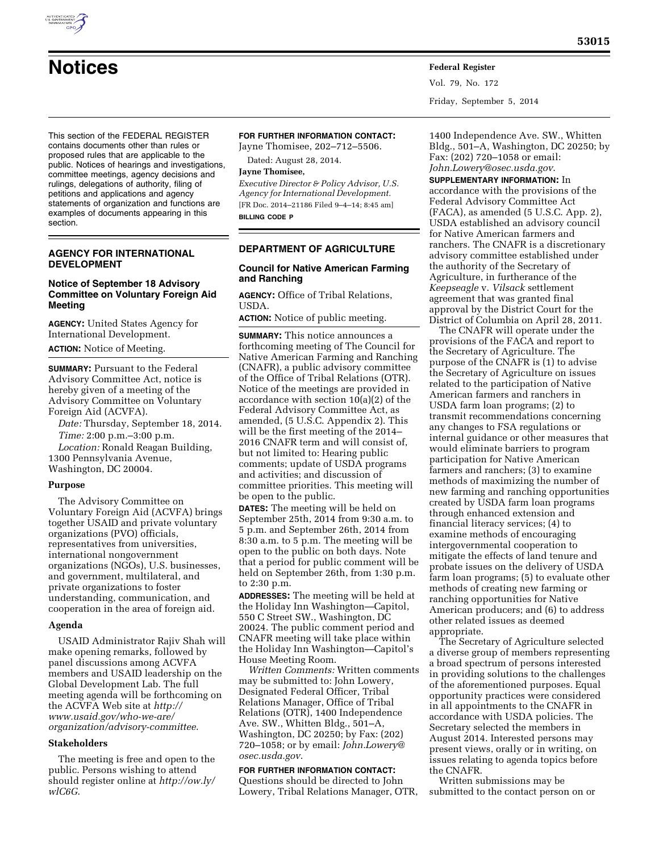# **Notices Federal Register**

Vol. 79, No. 172 Friday, September 5, 2014

This section of the FEDERAL REGISTER contains documents other than rules or proposed rules that are applicable to the public. Notices of hearings and investigations, committee meetings, agency decisions and rulings, delegations of authority, filing of petitions and applications and agency statements of organization and functions are examples of documents appearing in this section.

## **AGENCY FOR INTERNATIONAL DEVELOPMENT**

# **Notice of September 18 Advisory Committee on Voluntary Foreign Aid Meeting**

**AGENCY:** United States Agency for International Development. **ACTION:** Notice of Meeting.

**SUMMARY: Pursuant to the Federal** Advisory Committee Act, notice is hereby given of a meeting of the Advisory Committee on Voluntary Foreign Aid (ACVFA).

*Date:* Thursday, September 18, 2014. *Time:* 2:00 p.m.–3:00 p.m.

*Location:* Ronald Reagan Building, 1300 Pennsylvania Avenue, Washington, DC 20004.

## **Purpose**

The Advisory Committee on Voluntary Foreign Aid (ACVFA) brings together USAID and private voluntary organizations (PVO) officials, representatives from universities, international nongovernment organizations (NGOs), U.S. businesses, and government, multilateral, and private organizations to foster understanding, communication, and cooperation in the area of foreign aid.

#### **Agenda**

USAID Administrator Rajiv Shah will make opening remarks, followed by panel discussions among ACVFA members and USAID leadership on the Global Development Lab. The full meeting agenda will be forthcoming on the ACVFA Web site at *[http://](http://www.usaid.gov/who-we-are/organization/advisory-committee) [www.usaid.gov/who-we-are/](http://www.usaid.gov/who-we-are/organization/advisory-committee) [organization/advisory-committee](http://www.usaid.gov/who-we-are/organization/advisory-committee)*.

#### **Stakeholders**

The meeting is free and open to the public. Persons wishing to attend should register online at *[http://ow.ly/](http://ow.ly/wlC6G) [wlC6G](http://ow.ly/wlC6G)*.

## **FOR FURTHER INFORMATION CONTACT:**

Jayne Thomisee, 202–712–5506. Dated: August 28, 2014.

# **Jayne Thomisee,**

*Executive Director & Policy Advisor, U.S. Agency for International Development.*  [FR Doc. 2014–21186 Filed 9–4–14; 8:45 am] **BILLING CODE P** 

#### **DEPARTMENT OF AGRICULTURE**

#### **Council for Native American Farming and Ranching**

**AGENCY:** Office of Tribal Relations, USDA.

**ACTION:** Notice of public meeting.

**SUMMARY:** This notice announces a forthcoming meeting of The Council for Native American Farming and Ranching (CNAFR), a public advisory committee of the Office of Tribal Relations (OTR). Notice of the meetings are provided in accordance with section 10(a)(2) of the Federal Advisory Committee Act, as amended, (5 U.S.C. Appendix 2). This will be the first meeting of the 2014– 2016 CNAFR term and will consist of, but not limited to: Hearing public comments; update of USDA programs and activities; and discussion of committee priorities. This meeting will be open to the public.

**DATES:** The meeting will be held on September 25th, 2014 from 9:30 a.m. to 5 p.m. and September 26th, 2014 from 8:30 a.m. to 5 p.m. The meeting will be open to the public on both days. Note that a period for public comment will be held on September 26th, from 1:30 p.m. to 2:30 p.m.

**ADDRESSES:** The meeting will be held at the Holiday Inn Washington—Capitol, 550 C Street SW., Washington, DC 20024. The public comment period and CNAFR meeting will take place within the Holiday Inn Washington—Capitol's House Meeting Room.

*Written Comments:* Written comments may be submitted to: John Lowery, Designated Federal Officer, Tribal Relations Manager, Office of Tribal Relations (OTR), 1400 Independence Ave. SW., Whitten Bldg., 501–A, Washington, DC 20250; by Fax: (202) 720–1058; or by email: *[John.Lowery@](mailto:John.Lowery@osec.usda.gov) [osec.usda.gov](mailto:John.Lowery@osec.usda.gov)*.

## **FOR FURTHER INFORMATION CONTACT:**  Questions should be directed to John Lowery, Tribal Relations Manager, OTR,

1400 Independence Ave. SW., Whitten Bldg., 501–A, Washington, DC 20250; by Fax: (202) 720–1058 or email: *[John.Lowery@osec.usda.gov](mailto:John.Lowery@osec.usda.gov)*.

**SUPPLEMENTARY INFORMATION:** In

accordance with the provisions of the Federal Advisory Committee Act (FACA), as amended (5 U.S.C. App. 2), USDA established an advisory council for Native American farmers and ranchers. The CNAFR is a discretionary advisory committee established under the authority of the Secretary of Agriculture, in furtherance of the *Keepseagle* v. *Vilsack* settlement agreement that was granted final approval by the District Court for the District of Columbia on April 28, 2011.

The CNAFR will operate under the provisions of the FACA and report to the Secretary of Agriculture. The purpose of the CNAFR is (1) to advise the Secretary of Agriculture on issues related to the participation of Native American farmers and ranchers in USDA farm loan programs; (2) to transmit recommendations concerning any changes to FSA regulations or internal guidance or other measures that would eliminate barriers to program participation for Native American farmers and ranchers; (3) to examine methods of maximizing the number of new farming and ranching opportunities created by USDA farm loan programs through enhanced extension and financial literacy services; (4) to examine methods of encouraging intergovernmental cooperation to mitigate the effects of land tenure and probate issues on the delivery of USDA farm loan programs; (5) to evaluate other methods of creating new farming or ranching opportunities for Native American producers; and (6) to address other related issues as deemed appropriate.

The Secretary of Agriculture selected a diverse group of members representing a broad spectrum of persons interested in providing solutions to the challenges of the aforementioned purposes. Equal opportunity practices were considered in all appointments to the CNAFR in accordance with USDA policies. The Secretary selected the members in August 2014. Interested persons may present views, orally or in writing, on issues relating to agenda topics before the CNAFR.

Written submissions may be submitted to the contact person on or